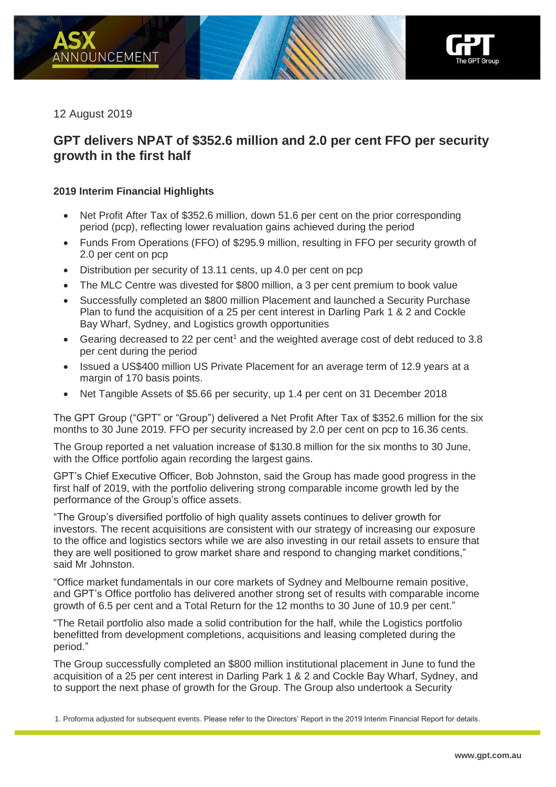

12 August 2019

# **GPT delivers NPAT of \$352.6 million and 2.0 per cent FFO per security growth in the first half**

# **2019 Interim Financial Highlights**

- Net Profit After Tax of \$352.6 million, down 51.6 per cent on the prior corresponding period (pcp), reflecting lower revaluation gains achieved during the period
- Funds From Operations (FFO) of \$295.9 million, resulting in FFO per security growth of 2.0 per cent on pcp
- Distribution per security of 13.11 cents, up 4.0 per cent on pcp
- The MLC Centre was divested for \$800 million, a 3 per cent premium to book value
- Successfully completed an \$800 million Placement and launched a Security Purchase Plan to fund the acquisition of a 25 per cent interest in Darling Park 1 & 2 and Cockle Bay Wharf, Sydney, and Logistics growth opportunities
- Gearing decreased to 22 per cent<sup>1</sup> and the weighted average cost of debt reduced to 3.8 per cent during the period
- Issued a US\$400 million US Private Placement for an average term of 12.9 years at a margin of 170 basis points.
- Net Tangible Assets of \$5.66 per security, up 1.4 per cent on 31 December 2018

The GPT Group ("GPT" or "Group") delivered a Net Profit After Tax of \$352.6 million for the six months to 30 June 2019. FFO per security increased by 2.0 per cent on pcp to 16.36 cents.

The Group reported a net valuation increase of \$130.8 million for the six months to 30 June, with the Office portfolio again recording the largest gains.

GPT's Chief Executive Officer, Bob Johnston, said the Group has made good progress in the first half of 2019, with the portfolio delivering strong comparable income growth led by the performance of the Group's office assets.

"The Group's diversified portfolio of high quality assets continues to deliver growth for investors. The recent acquisitions are consistent with our strategy of increasing our exposure to the office and logistics sectors while we are also investing in our retail assets to ensure that they are well positioned to grow market share and respond to changing market conditions," said Mr Johnston.

"Office market fundamentals in our core markets of Sydney and Melbourne remain positive, and GPT's Office portfolio has delivered another strong set of results with comparable income growth of 6.5 per cent and a Total Return for the 12 months to 30 June of 10.9 per cent."

"The Retail portfolio also made a solid contribution for the half, while the Logistics portfolio benefitted from development completions, acquisitions and leasing completed during the period."

The Group successfully completed an \$800 million institutional placement in June to fund the acquisition of a 25 per cent interest in Darling Park 1 & 2 and Cockle Bay Wharf, Sydney, and to support the next phase of growth for the Group. The Group also undertook a Security

1. Proforma adjusted for subsequent events. Please refer to the Directors' Report in the 2019 Interim Financial Report for details.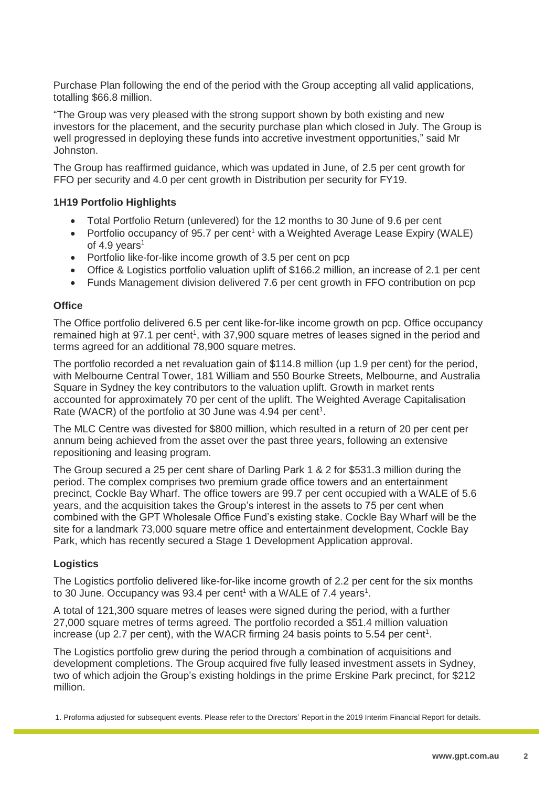Purchase Plan following the end of the period with the Group accepting all valid applications, totalling \$66.8 million.

"The Group was very pleased with the strong support shown by both existing and new investors for the placement, and the security purchase plan which closed in July. The Group is well progressed in deploying these funds into accretive investment opportunities," said Mr Johnston.

The Group has reaffirmed guidance, which was updated in June, of 2.5 per cent growth for FFO per security and 4.0 per cent growth in Distribution per security for FY19.

### **1H19 Portfolio Highlights**

- Total Portfolio Return (unlevered) for the 12 months to 30 June of 9.6 per cent
- Portfolio occupancy of 95.7 per cent<sup>1</sup> with a Weighted Average Lease Expiry (WALE) of 4.9 years<sup>1</sup>
- Portfolio like-for-like income growth of 3.5 per cent on pcp
- Office & Logistics portfolio valuation uplift of \$166.2 million, an increase of 2.1 per cent
- Funds Management division delivered 7.6 per cent growth in FFO contribution on pcp

#### **Office**

The Office portfolio delivered 6.5 per cent like-for-like income growth on pcp. Office occupancy remained high at 97.1 per cent<sup>1</sup>, with 37,900 square metres of leases signed in the period and terms agreed for an additional 78,900 square metres.

The portfolio recorded a net revaluation gain of \$114.8 million (up 1.9 per cent) for the period, with Melbourne Central Tower, 181 William and 550 Bourke Streets, Melbourne, and Australia Square in Sydney the key contributors to the valuation uplift. Growth in market rents accounted for approximately 70 per cent of the uplift. The Weighted Average Capitalisation Rate (WACR) of the portfolio at 30 June was 4.94 per cent<sup>1</sup>.

The MLC Centre was divested for \$800 million, which resulted in a return of 20 per cent per annum being achieved from the asset over the past three years, following an extensive repositioning and leasing program.

The Group secured a 25 per cent share of Darling Park 1 & 2 for \$531.3 million during the period. The complex comprises two premium grade office towers and an entertainment precinct, Cockle Bay Wharf. The office towers are 99.7 per cent occupied with a WALE of 5.6 years, and the acquisition takes the Group's interest in the assets to 75 per cent when combined with the GPT Wholesale Office Fund's existing stake. Cockle Bay Wharf will be the site for a landmark 73,000 square metre office and entertainment development, Cockle Bay Park, which has recently secured a Stage 1 Development Application approval.

### **Logistics**

The Logistics portfolio delivered like-for-like income growth of 2.2 per cent for the six months to 30 June. Occupancy was 93.4 per cent<sup>1</sup> with a WALE of 7.4 years<sup>1</sup>.

A total of 121,300 square metres of leases were signed during the period, with a further 27,000 square metres of terms agreed. The portfolio recorded a \$51.4 million valuation increase (up 2.7 per cent), with the WACR firming 24 basis points to 5.54 per cent<sup>1</sup>.

The Logistics portfolio grew during the period through a combination of acquisitions and development completions. The Group acquired five fully leased investment assets in Sydney, two of which adjoin the Group's existing holdings in the prime Erskine Park precinct, for \$212 million.

1. Proforma adjusted for subsequent events. Please refer to the Directors' Report in the 2019 Interim Financial Report for details.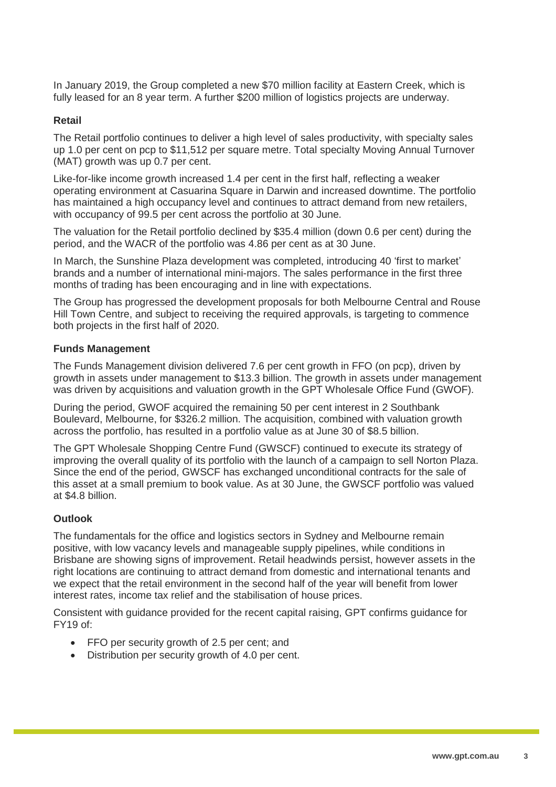In January 2019, the Group completed a new \$70 million facility at Eastern Creek, which is fully leased for an 8 year term. A further \$200 million of logistics projects are underway.

#### **Retail**

The Retail portfolio continues to deliver a high level of sales productivity, with specialty sales up 1.0 per cent on pcp to \$11,512 per square metre. Total specialty Moving Annual Turnover (MAT) growth was up 0.7 per cent.

Like-for-like income growth increased 1.4 per cent in the first half, reflecting a weaker operating environment at Casuarina Square in Darwin and increased downtime. The portfolio has maintained a high occupancy level and continues to attract demand from new retailers, with occupancy of 99.5 per cent across the portfolio at 30 June.

The valuation for the Retail portfolio declined by \$35.4 million (down 0.6 per cent) during the period, and the WACR of the portfolio was 4.86 per cent as at 30 June.

In March, the Sunshine Plaza development was completed, introducing 40 'first to market' brands and a number of international mini-majors. The sales performance in the first three months of trading has been encouraging and in line with expectations.

The Group has progressed the development proposals for both Melbourne Central and Rouse Hill Town Centre, and subject to receiving the required approvals, is targeting to commence both projects in the first half of 2020.

#### **Funds Management**

The Funds Management division delivered 7.6 per cent growth in FFO (on pcp), driven by growth in assets under management to \$13.3 billion. The growth in assets under management was driven by acquisitions and valuation growth in the GPT Wholesale Office Fund (GWOF).

During the period, GWOF acquired the remaining 50 per cent interest in 2 Southbank Boulevard, Melbourne, for \$326.2 million. The acquisition, combined with valuation growth across the portfolio, has resulted in a portfolio value as at June 30 of \$8.5 billion.

The GPT Wholesale Shopping Centre Fund (GWSCF) continued to execute its strategy of improving the overall quality of its portfolio with the launch of a campaign to sell Norton Plaza. Since the end of the period, GWSCF has exchanged unconditional contracts for the sale of this asset at a small premium to book value. As at 30 June, the GWSCF portfolio was valued at \$4.8 billion.

### **Outlook**

The fundamentals for the office and logistics sectors in Sydney and Melbourne remain positive, with low vacancy levels and manageable supply pipelines, while conditions in Brisbane are showing signs of improvement. Retail headwinds persist, however assets in the right locations are continuing to attract demand from domestic and international tenants and we expect that the retail environment in the second half of the year will benefit from lower interest rates, income tax relief and the stabilisation of house prices.

Consistent with guidance provided for the recent capital raising, GPT confirms guidance for FY19 of:

- FFO per security growth of 2.5 per cent; and
- Distribution per security growth of 4.0 per cent.